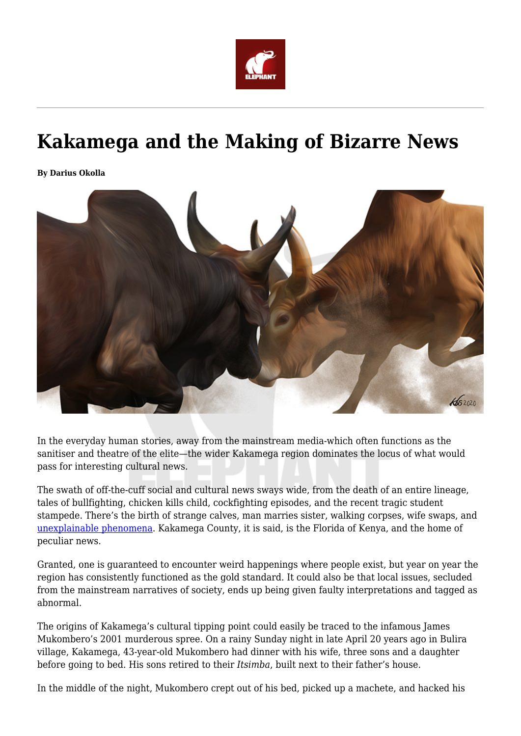

# **Kakamega and the Making of Bizarre News**

**By Darius Okolla**



In the everyday human stories, away from the mainstream media-which often functions as the sanitiser and theatre of the elite—the wider Kakamega region dominates the locus of what would pass for interesting cultural news.

The swath of off-the-cuff social and cultural news sways wide, from the death of an entire lineage, tales of bullfighting, chicken kills child, cockfighting episodes, and the recent tragic student stampede. There's the birth of strange calves, man marries sister, walking corpses, wife swaps, and [unexplainable phenomena](https://www.youtube.com/watch?v=UMh-owHsu-Q). Kakamega County, it is said, is the Florida of Kenya, and the home of peculiar news.

Granted, one is guaranteed to encounter weird happenings where people exist, but year on year the region has consistently functioned as the gold standard. It could also be that local issues, secluded from the mainstream narratives of society, ends up being given faulty interpretations and tagged as abnormal.

The origins of Kakamega's cultural tipping point could easily be traced to the infamous James Mukombero's 2001 murderous spree. On a rainy Sunday night in late April 20 years ago in Bulira village, Kakamega, 43-year-old Mukombero had dinner with his wife, three sons and a daughter before going to bed. His sons retired to their *Itsimba*, built next to their father's house.

In the middle of the night, Mukombero crept out of his bed, picked up a machete, and hacked his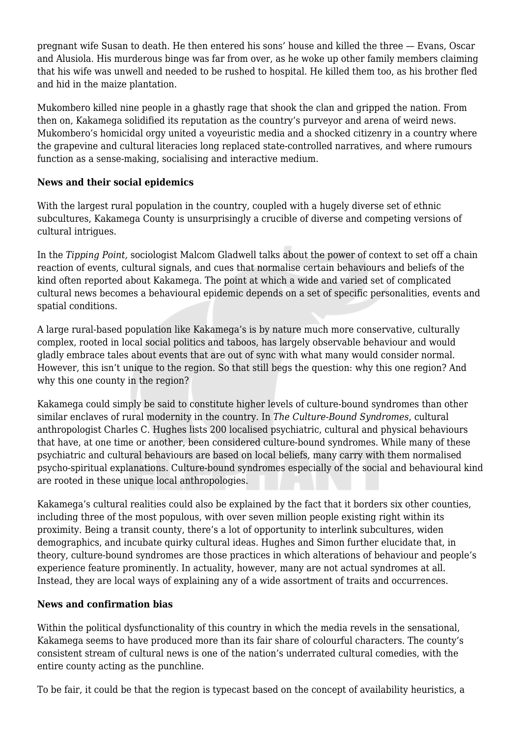pregnant wife Susan to death. He then entered his sons' house and killed the three — Evans, Oscar and Alusiola. His murderous binge was far from over, as he woke up other family members claiming that his wife was unwell and needed to be rushed to hospital. He killed them too, as his brother fled and hid in the maize plantation.

Mukombero killed nine people in a ghastly rage that shook the clan and gripped the nation. From then on, Kakamega solidified its reputation as the country's purveyor and arena of weird news. Mukombero's homicidal orgy united a voyeuristic media and a shocked citizenry in a country where the grapevine and cultural literacies long replaced state-controlled narratives, and where rumours function as a sense-making, socialising and interactive medium.

## **News and their social epidemics**

With the largest rural population in the country, coupled with a hugely diverse set of ethnic subcultures, Kakamega County is unsurprisingly a crucible of diverse and competing versions of cultural intrigues.

In the *Tipping Point,* sociologist Malcom Gladwell talks about the power of context to set off a chain reaction of events, cultural signals, and cues that normalise certain behaviours and beliefs of the kind often reported about Kakamega. The point at which a wide and varied set of complicated cultural news becomes a behavioural epidemic depends on a set of specific personalities, events and spatial conditions.

A large rural-based population like Kakamega's is by nature much more conservative, culturally complex, rooted in local social politics and taboos, has largely observable behaviour and would gladly embrace tales about events that are out of sync with what many would consider normal. However, this isn't unique to the region. So that still begs the question: why this one region? And why this one county in the region?

Kakamega could simply be said to constitute higher levels of culture-bound syndromes than other similar enclaves of rural modernity in the country. In *The Culture-Bound Syndromes*, cultural anthropologist Charles C. Hughes lists 200 localised psychiatric, cultural and physical behaviours that have, at one time or another, been considered culture-bound syndromes. While many of these psychiatric and cultural behaviours are based on local beliefs, many carry with them normalised psycho-spiritual explanations. Culture-bound syndromes especially of the social and behavioural kind are rooted in these unique local anthropologies.

Kakamega's cultural realities could also be explained by the fact that it borders six other counties, including three of the most populous, with over seven million people existing right within its proximity. Being a transit county, there's a lot of opportunity to interlink subcultures, widen demographics, and incubate quirky cultural ideas. Hughes and Simon further elucidate that, in theory, culture-bound syndromes are those practices in which alterations of behaviour and people's experience feature prominently. In actuality, however, many are not actual syndromes at all. Instead, they are local ways of explaining any of a wide assortment of traits and occurrences.

#### **News and confirmation bias**

Within the political dysfunctionality of this country in which the media revels in the sensational, Kakamega seems to have produced more than its fair share of colourful characters. The county's consistent stream of cultural news is one of the nation's underrated cultural comedies, with the entire county acting as the punchline.

To be fair, it could be that the region is typecast based on the concept of availability heuristics, a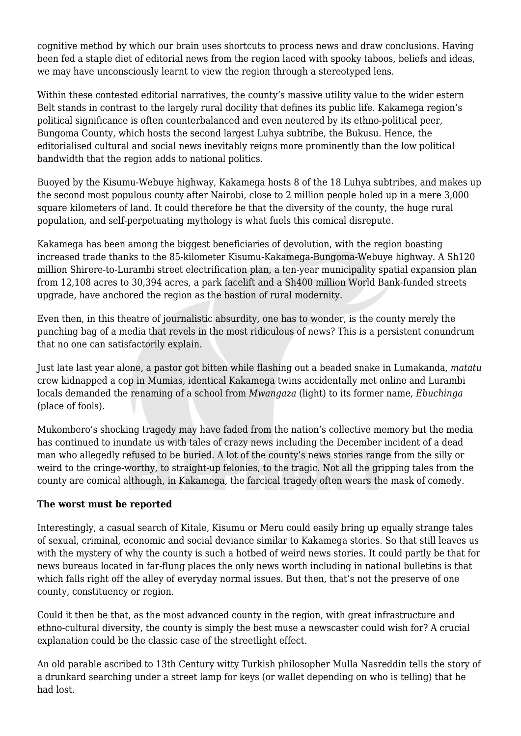cognitive method by which our brain uses shortcuts to process news and draw conclusions. Having been fed a staple diet of editorial news from the region laced with spooky taboos, beliefs and ideas, we may have unconsciously learnt to view the region through a stereotyped lens.

Within these contested editorial narratives, the county's massive utility value to the wider estern Belt stands in contrast to the largely rural docility that defines its public life. Kakamega region's political significance is often counterbalanced and even neutered by its ethno-political peer, Bungoma County, which hosts the second largest Luhya subtribe, the Bukusu. Hence, the editorialised cultural and social news inevitably reigns more prominently than the low political bandwidth that the region adds to national politics.

Buoyed by the Kisumu-Webuye highway, Kakamega hosts 8 of the 18 Luhya subtribes, and makes up the second most populous county after Nairobi, close to 2 million people holed up in a mere 3,000 square kilometers of land. It could therefore be that the diversity of the county, the huge rural population, and self-perpetuating mythology is what fuels this comical disrepute.

Kakamega has been among the biggest beneficiaries of devolution, with the region boasting increased trade thanks to the 85-kilometer Kisumu-Kakamega-Bungoma-Webuye highway. A Sh120 million Shirere-to-Lurambi street electrification plan, a ten-year municipality spatial expansion plan from 12,108 acres to 30,394 acres, a park facelift and a Sh400 million World Bank-funded streets upgrade, have anchored the region as the bastion of rural modernity.

Even then, in this theatre of journalistic absurdity, one has to wonder, is the county merely the punching bag of a media that revels in the most ridiculous of news? This is a persistent conundrum that no one can satisfactorily explain.

Just late last year alone, a pastor got bitten while flashing out a beaded snake in Lumakanda, *matatu* crew kidnapped a cop in Mumias, identical Kakamega twins accidentally met online and Lurambi locals demanded the renaming of a school from *Mwangaza* (light) to its former name, *Ebuchinga* (place of fools).

Mukombero's shocking tragedy may have faded from the nation's collective memory but the media has continued to inundate us with tales of crazy news including the December incident of a dead man who allegedly refused to be buried. A lot of the county's news stories range from the silly or weird to the cringe-worthy, to straight-up felonies, to the tragic. Not all the gripping tales from the county are comical although, in Kakamega, the farcical tragedy often wears the mask of comedy.

#### **The worst must be reported**

Interestingly, a casual search of Kitale, Kisumu or Meru could easily bring up equally strange tales of sexual, criminal, economic and social deviance similar to Kakamega stories. So that still leaves us with the mystery of why the county is such a hotbed of weird news stories. It could partly be that for news bureaus located in far-flung places the only news worth including in national bulletins is that which falls right off the alley of everyday normal issues. But then, that's not the preserve of one county, constituency or region.

Could it then be that, as the most advanced county in the region, with great infrastructure and ethno-cultural diversity, the county is simply the best muse a newscaster could wish for? A crucial explanation could be the classic case of the streetlight effect.

An old parable ascribed to 13th Century witty Turkish philosopher Mulla Nasreddin tells the story of a drunkard searching under a street lamp for keys (or wallet depending on who is telling) that he had lost.